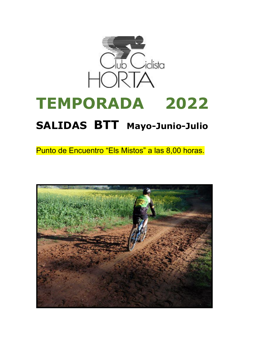

# **TEMPORADA 2022**

# **SALIDAS BTT Mayo-Junio-Julio**

Punto de Encuentro "Els Mistos" a las 8,00 horas.

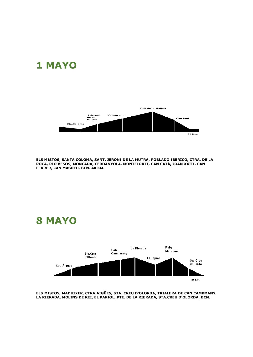## **1 MAYO**



**ELS MISTOS, SANTA COLOMA, SANT. JERONI DE LA MUTRA, POBLADO IBERICO, CTRA. DE LA ROCA, RIO BESOS, MONCADA, CERDANYOLA, MONTFLORIT, CAN CATÁ, JOAN XXIII, CAN FERRER, CAN MASDEU, BCN. 40 KM.**

**8 MAYO**



**ELS MISTOS, MADUIXER, CTRA.AIGÜES, STA. CREU D'OLORDA, TRIALERA DE CAN CAMPMANY, LA RIERADA, MOLINS DE REI, EL PAPIOL, PTE. DE LA RIERADA, STA.CREU D'OLORDA, BCN.**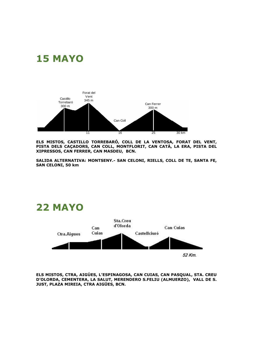## **15 MAYO**



**ELS MISTOS, CASTILLO TORREBARÓ, COLL DE LA VENTOSA, FORAT DEL VENT, PISTA DELS CAÇADORS, CAN COLL, MONTFLORIT, CAN CATÁ, LA ERA, PISTA DEL XIPRESSOS, CAN FERRER, CAN MASDEU, BCN.**

**SALIDA ALTERNATIVA: MONTSENY.- SAN CELONI, RIELLS, COLL DE TE, SANTA FE, SAN CELONI, 50 km**



**ELS MISTOS, CTRA, AIGÚES, L'ESPINAGOSA, CAN CUIAS, CAN PASQUAL, STA. CREU D'OLORDA, CEMENTERA, LA SALUT, MERENDERO S.FELIU (ALMUERZO), VALL DE S. JUST, PLAZA MIREIA, CTRA AIGÜES, BCN.**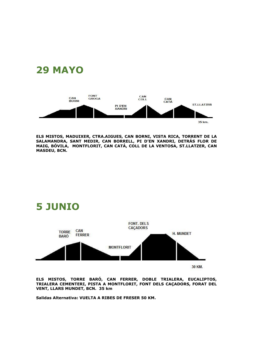



**ELS MISTOS, MADUIXER, CTRA.AIGUES, CAN BORNI, VISTA RICA, TORRENT DE LA SALAMANDRA, SANT MEDIR, CAN BORRELL, PI D'EN XANDRI, DETRÁS FLOR DE MAIG, BÓVILA, MONTFLORIT, CAN CATÁ, COLL DE LA VENTOSA, ST.LLATZER, CAN MASDEU, BCN.**



**ELS MISTOS, TORRE BARÓ, CAN FERRER, DOBLE TRIALERA, EUCALIPTOS, TRIALERA CEMENTERI, PISTA A MONTFLORIT, FONT DELS CAÇADORS, FORAT DEL VENT, LLARS MUNDET, BCN. 35 km**

**Salidas Alternativa: VUELTA A RIBES DE FRESER 50 KM.**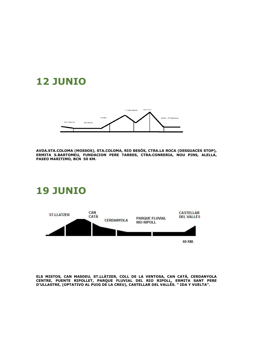## **12 JUNIO**



**AVDA.STA.COLOMA (MOSSOS), STA.COLOMA, RIO BESÓS, CTRA.LA ROCA (DESGUACES STOP), ERMITA S.BARTOMEU, FUNDACION PERE TARRES, CTRA.CONRERIA, NOU PINS, ALELLA, PASEO MARITIMO, BCN 50 KM.**

#### **19 JUNIO**



**ELS MISTOS, CAN MASDEU, ST.LLÀTZER, COLL DE LA VENTOSA, CAN CATÁ, CERDANYOLA CENTRE, PUENTE RIPOLLET, PARQUE FLUVIAL DEL RIO RIPOLL, ERMITA SANT PERE D'ULLASTRE, (OPTATIVO AL PUIG DE LA CREU), CASTELLAR DEL VALLÉS. " IDA Y VUELTA".**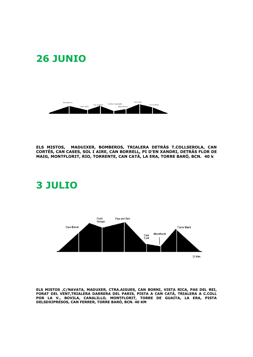## **26 JUNIO**



**ELS MISTOS, MADUIXER, BOMBEROS, TRIALERA DETRÁS T.COLLSEROLA, CAN CORTÉS, CAN CASES, SOL I AIRE, CAN BORRELL, PI D'EN XANDRI, DETRÁS FLOR DE MAIG, MONTFLORIT, RIO, TORRENTE, CAN CATÁ, LA ERA, TORRE BARÓ, BCN. 40 k**

## **3 JULIO**



**ELS MISTOS ,C/NAVATA, MADUXER, CTRA.AIGUES, CAN BORNI, VISTA RICA, PAS DEL REI, FORAT DEL VENT,TRIALERA DARRERA DEL PARIS, PISTA A CAN CATÁ, TRIALERA A C.COLL POR LA V., BOVILA, CANALILLO, MONTFLORIT, TORRE DE GUAITA, LA ERA, PISTA DELSDXIPRESOS, CAN FERRER, TORRE BARÓ, BCN. 40 KM**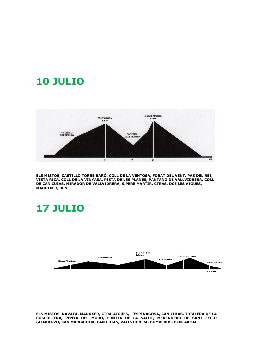## **10 JULIO**



**ELS MISTOS, CASTILLO TORRE BARÓ, COLL DE LA VENTOSA, FORAT DEL VENT, PAS DEL REI, VISTA RICA, COLL DE LA VINYASA, PISTA DE LES PLANES, PANTANO DE VALLVIDRERA, COLL DE CAN CUIAS, MIRADOR DE VALLVIDRERA, S.PERE MARTIR, CTRAS. DCE LES AIGÜES, MADUIXER, BCN.** 

#### **17 JULIO**



**ELS MISTOS. NAVATA, MADUXER, CTRA-AIGÜES, L'ESPINAGOSA, CAN CUIAS, TRIALERA DE LA COSCOLLERA, PENYA DEL MORO, ERMITA DE LA SALUT, MERENDERO DE SANT FELIU (ALMUERZO, CAN MARGARIDA, CAN CUIAS, VALLVIDRERA, BOMBEROS, BCN. 40 KM**